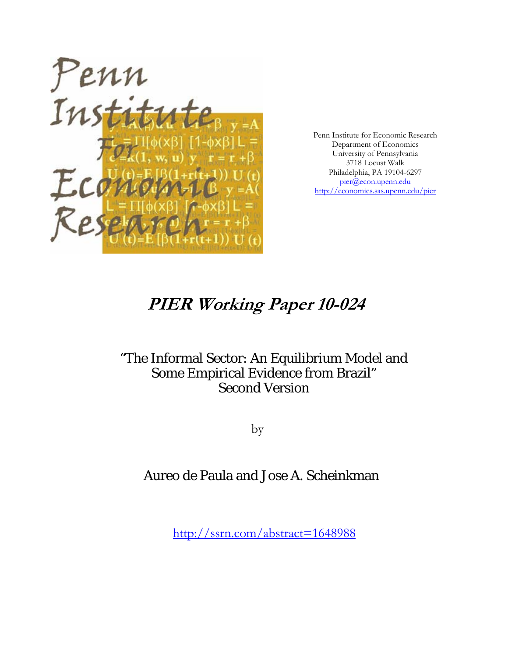

Penn Institute for Economic Research Department of Economics University of Pennsylvania 3718 Locust Walk Philadelphia, PA 19104-6297 pier@econ.upenn.edu http://economics.sas.upenn.edu/pier

# **PIER Working Paper 10-024**

# "The Informal Sector: An Equilibrium Model and Some Empirical Evidence from Brazil" Second Version

by

# Aureo de Paula and Jose A. Scheinkman

http://ssrn.com/abstract=1648988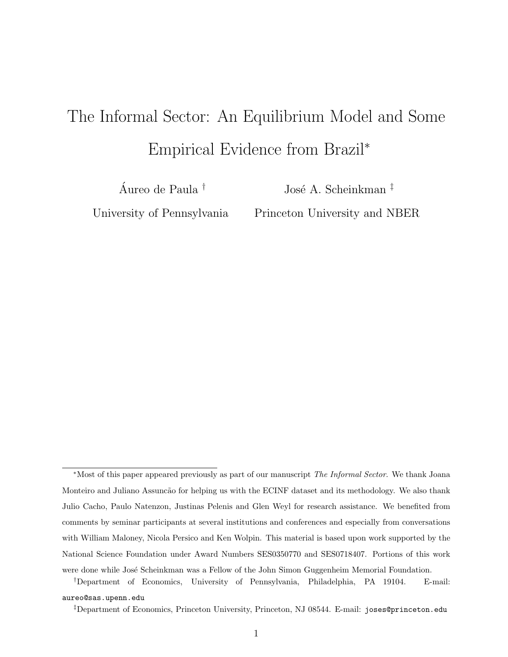# The Informal Sector: An Equilibrium Model and Some Empirical Evidence from Brazil<sup>∗</sup>

Áureo de Paula<sup>†</sup>

José A. Scheinkman  $\pm$ 

University of Pennsylvania

Princeton University and NBER

‡Department of Economics, Princeton University, Princeton, NJ 08544. E-mail: joses@princeton.edu

<sup>∗</sup>Most of this paper appeared previously as part of our manuscript The Informal Sector. We thank Joana Monteiro and Juliano Assuncão for helping us with the ECINF dataset and its methodology. We also thank Julio Cacho, Paulo Natenzon, Justinas Pelenis and Glen Weyl for research assistance. We benefited from comments by seminar participants at several institutions and conferences and especially from conversations with William Maloney, Nicola Persico and Ken Wolpin. This material is based upon work supported by the National Science Foundation under Award Numbers SES0350770 and SES0718407. Portions of this work were done while José Scheinkman was a Fellow of the John Simon Guggenheim Memorial Foundation.

<sup>†</sup>Department of Economics, University of Pennsylvania, Philadelphia, PA 19104. E-mail: aureo@sas.upenn.edu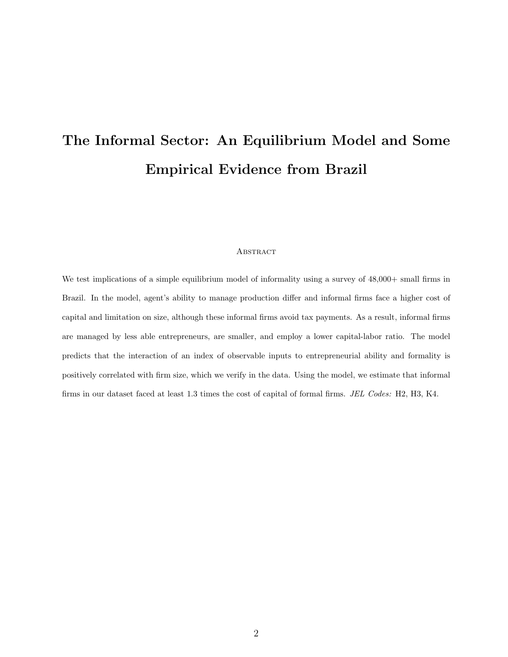# The Informal Sector: An Equilibrium Model and Some Empirical Evidence from Brazil

#### **ABSTRACT**

We test implications of a simple equilibrium model of informality using a survey of  $48,000+$  small firms in Brazil. In the model, agent's ability to manage production differ and informal firms face a higher cost of capital and limitation on size, although these informal firms avoid tax payments. As a result, informal firms are managed by less able entrepreneurs, are smaller, and employ a lower capital-labor ratio. The model predicts that the interaction of an index of observable inputs to entrepreneurial ability and formality is positively correlated with firm size, which we verify in the data. Using the model, we estimate that informal firms in our dataset faced at least 1.3 times the cost of capital of formal firms. JEL Codes: H2, H3, K4.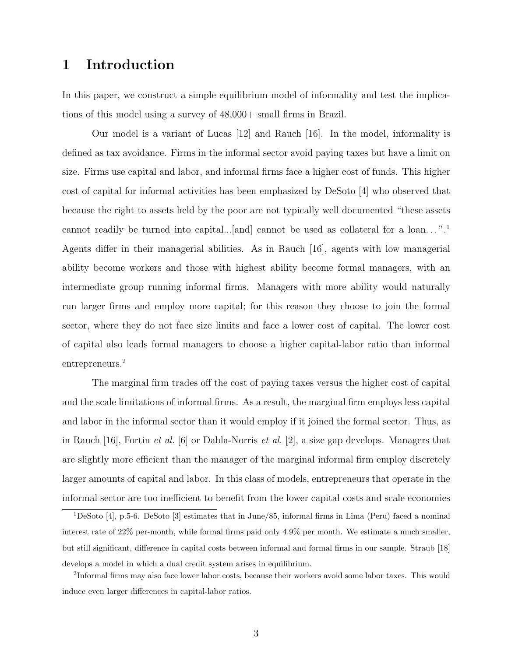## 1 Introduction

In this paper, we construct a simple equilibrium model of informality and test the implications of this model using a survey of 48,000+ small firms in Brazil.

Our model is a variant of Lucas [12] and Rauch [16]. In the model, informality is defined as tax avoidance. Firms in the informal sector avoid paying taxes but have a limit on size. Firms use capital and labor, and informal firms face a higher cost of funds. This higher cost of capital for informal activities has been emphasized by DeSoto [4] who observed that because the right to assets held by the poor are not typically well documented "these assets cannot readily be turned into capital...[and] cannot be used as collateral for a loan...".<sup>1</sup> Agents differ in their managerial abilities. As in Rauch [16], agents with low managerial ability become workers and those with highest ability become formal managers, with an intermediate group running informal firms. Managers with more ability would naturally run larger firms and employ more capital; for this reason they choose to join the formal sector, where they do not face size limits and face a lower cost of capital. The lower cost of capital also leads formal managers to choose a higher capital-labor ratio than informal entrepreneurs.<sup>2</sup>

The marginal firm trades off the cost of paying taxes versus the higher cost of capital and the scale limitations of informal firms. As a result, the marginal firm employs less capital and labor in the informal sector than it would employ if it joined the formal sector. Thus, as in Rauch [16], Fortin *et al.* [6] or Dabla-Norris *et al.* [2], a size gap develops. Managers that are slightly more efficient than the manager of the marginal informal firm employ discretely larger amounts of capital and labor. In this class of models, entrepreneurs that operate in the informal sector are too inefficient to benefit from the lower capital costs and scale economies

<sup>1</sup>DeSoto [4], p.5-6. DeSoto [3] estimates that in June/85, informal firms in Lima (Peru) faced a nominal interest rate of 22% per-month, while formal firms paid only 4.9% per month. We estimate a much smaller, but still significant, difference in capital costs between informal and formal firms in our sample. Straub [18] develops a model in which a dual credit system arises in equilibrium.

<sup>&</sup>lt;sup>2</sup>Informal firms may also face lower labor costs, because their workers avoid some labor taxes. This would induce even larger differences in capital-labor ratios.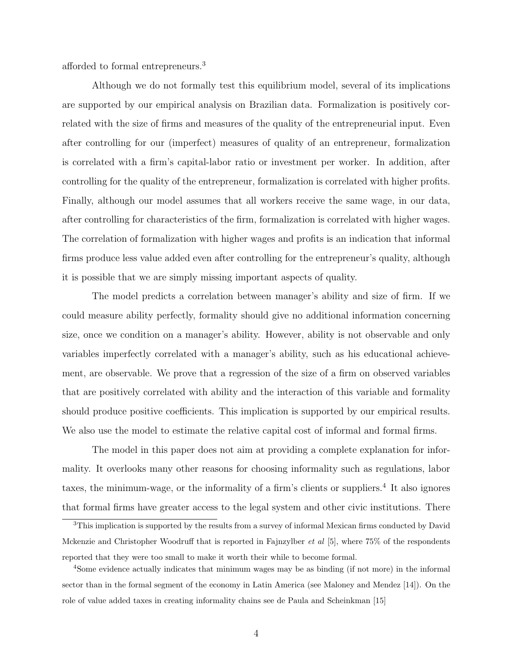afforded to formal entrepreneurs.<sup>3</sup>

Although we do not formally test this equilibrium model, several of its implications are supported by our empirical analysis on Brazilian data. Formalization is positively correlated with the size of firms and measures of the quality of the entrepreneurial input. Even after controlling for our (imperfect) measures of quality of an entrepreneur, formalization is correlated with a firm's capital-labor ratio or investment per worker. In addition, after controlling for the quality of the entrepreneur, formalization is correlated with higher profits. Finally, although our model assumes that all workers receive the same wage, in our data, after controlling for characteristics of the firm, formalization is correlated with higher wages. The correlation of formalization with higher wages and profits is an indication that informal firms produce less value added even after controlling for the entrepreneur's quality, although it is possible that we are simply missing important aspects of quality.

The model predicts a correlation between manager's ability and size of firm. If we could measure ability perfectly, formality should give no additional information concerning size, once we condition on a manager's ability. However, ability is not observable and only variables imperfectly correlated with a manager's ability, such as his educational achievement, are observable. We prove that a regression of the size of a firm on observed variables that are positively correlated with ability and the interaction of this variable and formality should produce positive coefficients. This implication is supported by our empirical results. We also use the model to estimate the relative capital cost of informal and formal firms.

The model in this paper does not aim at providing a complete explanation for informality. It overlooks many other reasons for choosing informality such as regulations, labor taxes, the minimum-wage, or the informality of a firm's clients or suppliers.<sup>4</sup> It also ignores that formal firms have greater access to the legal system and other civic institutions. There

<sup>3</sup>This implication is supported by the results from a survey of informal Mexican firms conducted by David Mckenzie and Christopher Woodruff that is reported in Fajnzylber *et al* [5], where 75% of the respondents reported that they were too small to make it worth their while to become formal.

<sup>4</sup>Some evidence actually indicates that minimum wages may be as binding (if not more) in the informal sector than in the formal segment of the economy in Latin America (see Maloney and Mendez [14]). On the role of value added taxes in creating informality chains see de Paula and Scheinkman [15]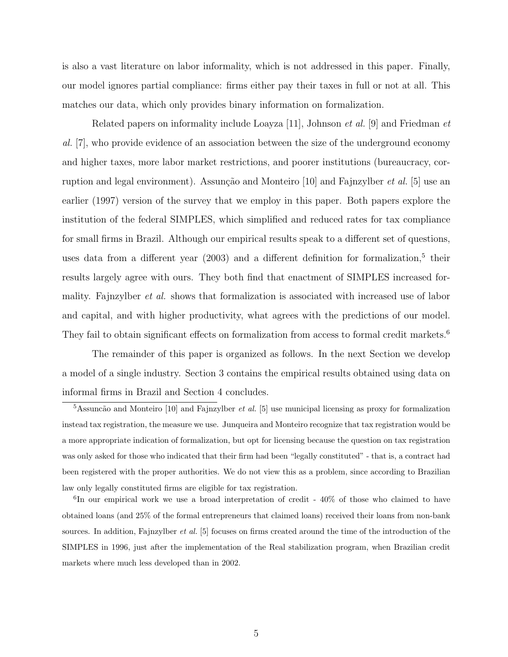is also a vast literature on labor informality, which is not addressed in this paper. Finally, our model ignores partial compliance: firms either pay their taxes in full or not at all. This matches our data, which only provides binary information on formalization.

Related papers on informality include Loayza [11], Johnson et al. [9] and Friedman et al. [7], who provide evidence of an association between the size of the underground economy and higher taxes, more labor market restrictions, and poorer institutions (bureaucracy, corruption and legal environment). Assunção and Monteiro [10] and Fajnzylber *et al.* [5] use an earlier (1997) version of the survey that we employ in this paper. Both papers explore the institution of the federal SIMPLES, which simplified and reduced rates for tax compliance for small firms in Brazil. Although our empirical results speak to a different set of questions, uses data from a different year  $(2003)$  and a different definition for formalization,<sup>5</sup> their results largely agree with ours. They both find that enactment of SIMPLES increased formality. Fajnzylber et al. shows that formalization is associated with increased use of labor and capital, and with higher productivity, what agrees with the predictions of our model. They fail to obtain significant effects on formalization from access to formal credit markets.<sup>6</sup>

The remainder of this paper is organized as follows. In the next Section we develop a model of a single industry. Section 3 contains the empirical results obtained using data on informal firms in Brazil and Section 4 concludes.

<sup>6</sup>In our empirical work we use a broad interpretation of credit - 40% of those who claimed to have obtained loans (and 25% of the formal entrepreneurs that claimed loans) received their loans from non-bank sources. In addition, Fajnzylber et al. [5] focuses on firms created around the time of the introduction of the SIMPLES in 1996, just after the implementation of the Real stabilization program, when Brazilian credit markets where much less developed than in 2002.

 $5$ Assuncão and Monteiro [10] and Fajnzylber *et al.* [5] use municipal licensing as proxy for formalization instead tax registration, the measure we use. Junqueira and Monteiro recognize that tax registration would be a more appropriate indication of formalization, but opt for licensing because the question on tax registration was only asked for those who indicated that their firm had been "legally constituted" - that is, a contract had been registered with the proper authorities. We do not view this as a problem, since according to Brazilian law only legally constituted firms are eligible for tax registration.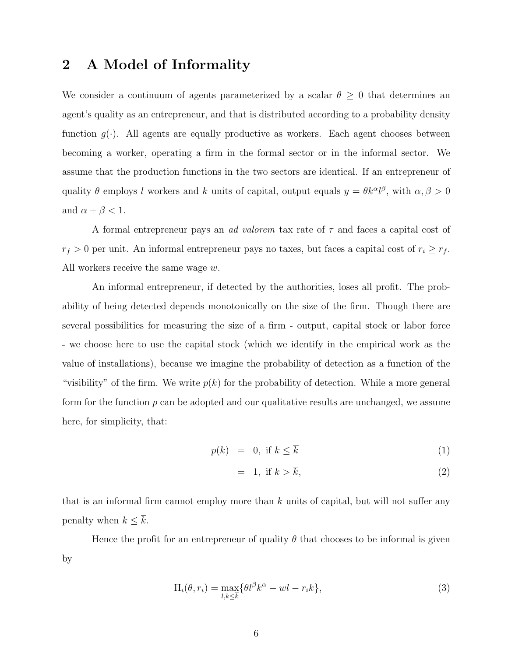### 2 A Model of Informality

We consider a continuum of agents parameterized by a scalar  $\theta \geq 0$  that determines an agent's quality as an entrepreneur, and that is distributed according to a probability density function  $g(\cdot)$ . All agents are equally productive as workers. Each agent chooses between becoming a worker, operating a firm in the formal sector or in the informal sector. We assume that the production functions in the two sectors are identical. If an entrepreneur of quality  $\theta$  employs l workers and k units of capital, output equals  $y = \theta k^{\alpha} l^{\beta}$ , with  $\alpha, \beta > 0$ and  $\alpha + \beta < 1$ .

A formal entrepreneur pays an *ad valorem* tax rate of  $\tau$  and faces a capital cost of  $r_f > 0$  per unit. An informal entrepreneur pays no taxes, but faces a capital cost of  $r_i \geq r_f$ . All workers receive the same wage w.

An informal entrepreneur, if detected by the authorities, loses all profit. The probability of being detected depends monotonically on the size of the firm. Though there are several possibilities for measuring the size of a firm - output, capital stock or labor force - we choose here to use the capital stock (which we identify in the empirical work as the value of installations), because we imagine the probability of detection as a function of the "visibility" of the firm. We write  $p(k)$  for the probability of detection. While a more general form for the function  $p$  can be adopted and our qualitative results are unchanged, we assume here, for simplicity, that:

$$
p(k) = 0, \text{ if } k \le k \tag{1}
$$

$$
= 1, \text{ if } k > \overline{k}, \tag{2}
$$

that is an informal firm cannot employ more than  $\overline{k}$  units of capital, but will not suffer any penalty when  $k \leq \overline{k}$ .

Hence the profit for an entrepreneur of quality  $\theta$  that chooses to be informal is given by

$$
\Pi_i(\theta, r_i) = \max_{l,k \le \overline{k}} \{ \theta l^{\beta} k^{\alpha} - w l - r_i k \},\tag{3}
$$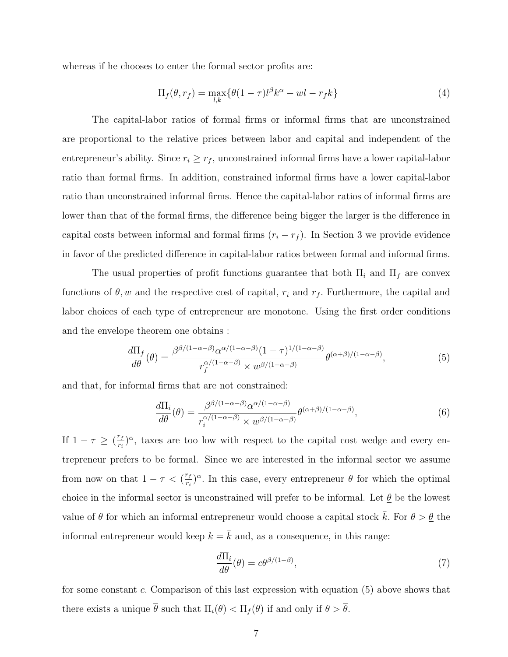whereas if he chooses to enter the formal sector profits are:

$$
\Pi_f(\theta, r_f) = \max_{l,k} \{ \theta (1 - \tau) l^{\beta} k^{\alpha} - w l - r_f k \}
$$
\n(4)

The capital-labor ratios of formal firms or informal firms that are unconstrained are proportional to the relative prices between labor and capital and independent of the entrepreneur's ability. Since  $r_i \geq r_f$ , unconstrained informal firms have a lower capital-labor ratio than formal firms. In addition, constrained informal firms have a lower capital-labor ratio than unconstrained informal firms. Hence the capital-labor ratios of informal firms are lower than that of the formal firms, the difference being bigger the larger is the difference in capital costs between informal and formal firms  $(r_i - r_f)$ . In Section 3 we provide evidence in favor of the predicted difference in capital-labor ratios between formal and informal firms.

The usual properties of profit functions guarantee that both  $\Pi_i$  and  $\Pi_f$  are convex functions of  $\theta$ , w and the respective cost of capital,  $r_i$  and  $r_f$ . Furthermore, the capital and labor choices of each type of entrepreneur are monotone. Using the first order conditions and the envelope theorem one obtains :

$$
\frac{d\Pi_f}{d\theta}(\theta) = \frac{\beta^{\beta/(1-\alpha-\beta)}\alpha^{\alpha/(1-\alpha-\beta)}(1-\tau)^{1/(1-\alpha-\beta)}}{r_f^{\alpha/(1-\alpha-\beta)} \times w^{\beta/(1-\alpha-\beta)}}\theta^{(\alpha+\beta)/(1-\alpha-\beta)},\tag{5}
$$

and that, for informal firms that are not constrained:

$$
\frac{d\Pi_i}{d\theta}(\theta) = \frac{\beta^{\beta/(1-\alpha-\beta)}\alpha^{\alpha/(1-\alpha-\beta)}}{r_i^{\alpha/(1-\alpha-\beta)} \times w^{\beta/(1-\alpha-\beta)}} \theta^{(\alpha+\beta)/(1-\alpha-\beta)},\tag{6}
$$

If  $1 - \tau \geq \left(\frac{r_f}{r}\right)$  $(r_f \over r_i)^{\alpha}$ , taxes are too low with respect to the capital cost wedge and every entrepreneur prefers to be formal. Since we are interested in the informal sector we assume from now on that  $1 - \tau < (\frac{r_f}{r_f})$  $(r_f \over r_i)^{\alpha}$ . In this case, every entrepreneur  $\theta$  for which the optimal choice in the informal sector is unconstrained will prefer to be informal. Let  $\theta$  be the lowest value of  $\theta$  for which an informal entrepreneur would choose a capital stock  $\bar{k}$ . For  $\theta > \underline{\theta}$  the informal entrepreneur would keep  $k = \overline{k}$  and, as a consequence, in this range:

$$
\frac{d\Pi_i}{d\theta}(\theta) = c\theta^{\beta/(1-\beta)},\tag{7}
$$

for some constant c. Comparison of this last expression with equation (5) above shows that there exists a unique  $\bar{\theta}$  such that  $\Pi_i(\theta) < \Pi_f(\theta)$  if and only if  $\theta > \bar{\theta}$ .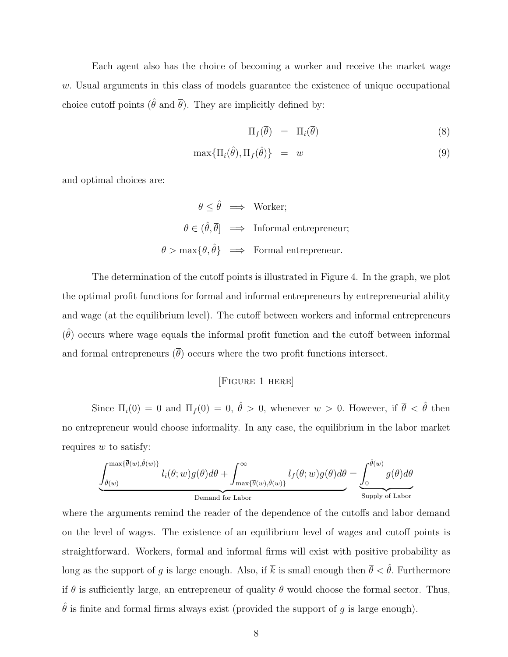Each agent also has the choice of becoming a worker and receive the market wage w. Usual arguments in this class of models guarantee the existence of unique occupational choice cutoff points  $(\hat{\theta} \text{ and } \overline{\theta})$ . They are implicitly defined by:

$$
\Pi_f(\overline{\theta}) = \Pi_i(\overline{\theta}) \tag{8}
$$

$$
\max\{\Pi_i(\hat{\theta}), \Pi_f(\hat{\theta})\} = w \tag{9}
$$

and optimal choices are:

 $\theta \leq \hat{\theta} \implies$  Worker;  $\theta \in (\hat{\theta}, \overline{\theta}] \implies$  Informal entrepreneur;  $\theta > \max{\{\overline{\theta}, \hat{\theta}\}} \implies$  Formal entrepreneur.

The determination of the cutoff points is illustrated in Figure 4. In the graph, we plot the optimal profit functions for formal and informal entrepreneurs by entrepreneurial ability and wage (at the equilibrium level). The cutoff between workers and informal entrepreneurs  $(\hat{\theta})$  occurs where wage equals the informal profit function and the cutoff between informal and formal entrepreneurs  $(\bar{\theta})$  occurs where the two profit functions intersect.

#### [Figure 1 here]

Since  $\Pi_i(0) = 0$  and  $\Pi_f(0) = 0$ ,  $\hat{\theta} > 0$ , whenever  $w > 0$ . However, if  $\bar{\theta} < \hat{\theta}$  then no entrepreneur would choose informality. In any case, the equilibrium in the labor market requires  $w$  to satisfy:

$$
\underbrace{\int_{\hat{\theta}(w)}^{\max\{\overline{\theta}(w),\hat{\theta}(w)\}}l_i(\theta;w)g(\theta)d\theta}_{\text{Demand for Labor}} + \int_{\max\{\overline{\theta}(w),\hat{\theta}(w)\}}^{\infty}l_f(\theta;w)g(\theta)d\theta}_{\text{Supply of Labor}}
$$

where the arguments remind the reader of the dependence of the cutoffs and labor demand on the level of wages. The existence of an equilibrium level of wages and cutoff points is straightforward. Workers, formal and informal firms will exist with positive probability as long as the support of g is large enough. Also, if  $\overline{k}$  is small enough then  $\overline{\theta} < \hat{\theta}$ . Furthermore if  $\theta$  is sufficiently large, an entrepreneur of quality  $\theta$  would choose the formal sector. Thus,  $\hat{\theta}$  is finite and formal firms always exist (provided the support of g is large enough).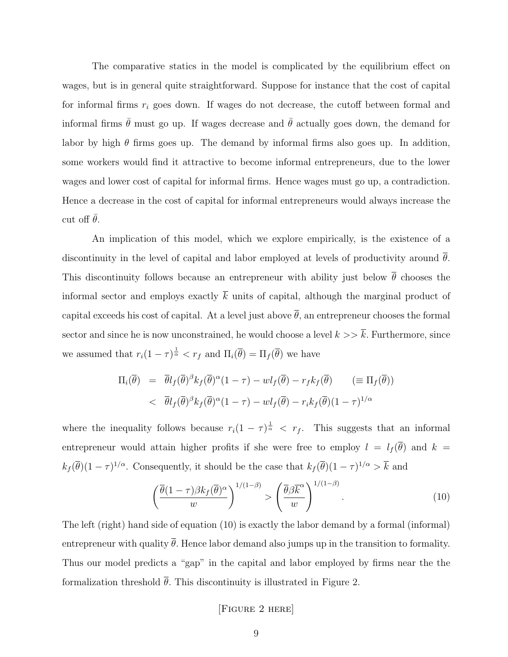The comparative statics in the model is complicated by the equilibrium effect on wages, but is in general quite straightforward. Suppose for instance that the cost of capital for informal firms  $r_i$  goes down. If wages do not decrease, the cutoff between formal and informal firms  $\bar{\theta}$  must go up. If wages decrease and  $\bar{\theta}$  actually goes down, the demand for labor by high  $\theta$  firms goes up. The demand by informal firms also goes up. In addition, some workers would find it attractive to become informal entrepreneurs, due to the lower wages and lower cost of capital for informal firms. Hence wages must go up, a contradiction. Hence a decrease in the cost of capital for informal entrepreneurs would always increase the cut off  $\bar{\theta}$ .

An implication of this model, which we explore empirically, is the existence of a discontinuity in the level of capital and labor employed at levels of productivity around  $\overline{\theta}$ . This discontinuity follows because an entrepreneur with ability just below  $\bar{\theta}$  chooses the informal sector and employs exactly  $\overline{k}$  units of capital, although the marginal product of capital exceeds his cost of capital. At a level just above  $\bar{\theta}$ , an entrepreneur chooses the formal sector and since he is now unconstrained, he would choose a level  $k >> \overline{k}$ . Furthermore, since we assumed that  $r_i(1-\tau)^{\frac{1}{\alpha}} < r_f$  and  $\Pi_i(\overline{\theta}) = \Pi_f(\overline{\theta})$  we have

$$
\Pi_i(\overline{\theta}) = \overline{\theta} l_f(\overline{\theta})^{\beta} k_f(\overline{\theta})^{\alpha} (1 - \tau) - w l_f(\overline{\theta}) - r_f k_f(\overline{\theta}) \qquad (\equiv \Pi_f(\overline{\theta}))
$$
  

$$
< \overline{\theta} l_f(\overline{\theta})^{\beta} k_f(\overline{\theta})^{\alpha} (1 - \tau) - w l_f(\overline{\theta}) - r_i k_f(\overline{\theta}) (1 - \tau)^{1/\alpha}
$$

where the inequality follows because  $r_i(1-\tau)^{\frac{1}{\alpha}} < r_f$ . This suggests that an informal entrepreneur would attain higher profits if she were free to employ  $l = l_f(\overline{\theta})$  and  $k =$  $k_f(\overline{\theta})(1-\tau)^{1/\alpha}$ . Consequently, it should be the case that  $k_f(\overline{\theta})(1-\tau)^{1/\alpha} > \overline{k}$  and

$$
\left(\frac{\overline{\theta}(1-\tau)\beta k_f(\overline{\theta})^{\alpha}}{w}\right)^{1/(1-\beta)} > \left(\frac{\overline{\theta}\beta\overline{k}^{\alpha}}{w}\right)^{1/(1-\beta)}.\tag{10}
$$

The left (right) hand side of equation (10) is exactly the labor demand by a formal (informal) entrepreneur with quality  $\bar{\theta}$ . Hence labor demand also jumps up in the transition to formality. Thus our model predicts a "gap" in the capital and labor employed by firms near the the formalization threshold  $\bar{\theta}$ . This discontinuity is illustrated in Figure 2.

#### [Figure 2 here]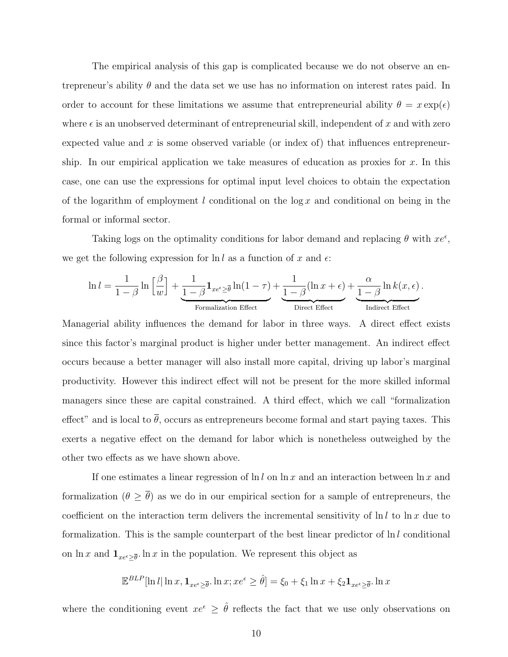The empirical analysis of this gap is complicated because we do not observe an entrepreneur's ability  $\theta$  and the data set we use has no information on interest rates paid. In order to account for these limitations we assume that entrepreneurial ability  $\theta = x \exp(\epsilon)$ where  $\epsilon$  is an unobserved determinant of entrepreneurial skill, independent of x and with zero expected value and  $x$  is some observed variable (or index of) that influences entrepreneurship. In our empirical application we take measures of education as proxies for  $x$ . In this case, one can use the expressions for optimal input level choices to obtain the expectation of the logarithm of employment  $l$  conditional on the log  $x$  and conditional on being in the formal or informal sector.

Taking logs on the optimality conditions for labor demand and replacing  $\theta$  with  $xe^{\epsilon}$ , we get the following expression for  $\ln l$  as a function of x and  $\epsilon$ :

$$
\ln l = \frac{1}{1-\beta} \ln \left[\frac{\beta}{w}\right] + \underbrace{\frac{1}{1-\beta} \mathbf{1}_{xe^{\epsilon} \geq \overline{\theta}} \ln(1-\tau)}_{\text{Formalization Effect}} + \underbrace{\frac{1}{1-\beta} (\ln x + \epsilon)}_{\text{Direct Effect}} + \underbrace{\frac{\alpha}{1-\beta} \ln k(x,\epsilon)}_{\text{Indirect Effect}}.
$$

Managerial ability influences the demand for labor in three ways. A direct effect exists since this factor's marginal product is higher under better management. An indirect effect occurs because a better manager will also install more capital, driving up labor's marginal productivity. However this indirect effect will not be present for the more skilled informal managers since these are capital constrained. A third effect, which we call "formalization effect" and is local to  $\bar{\theta}$ , occurs as entrepreneurs become formal and start paying taxes. This exerts a negative effect on the demand for labor which is nonetheless outweighed by the other two effects as we have shown above.

If one estimates a linear regression of  $\ln l$  on  $\ln x$  and an interaction between  $\ln x$  and formalization  $(\theta \geq \overline{\theta})$  as we do in our empirical section for a sample of entrepreneurs, the coefficient on the interaction term delivers the incremental sensitivity of  $\ln l$  to  $\ln x$  due to formalization. This is the sample counterpart of the best linear predictor of  $\ln l$  conditional on  $\ln x$  and  $\mathbf{1}_{xe \leq \overline{\theta}}$ .  $\ln x$  in the population. We represent this object as

$$
\mathbb{E}^{BLP}[\ln l|\ln x, \mathbf{1}_{xe^{\epsilon} \geq \overline{\theta}}, \ln x; xe^{\epsilon} \geq \hat{\theta}] = \xi_0 + \xi_1 \ln x + \xi_2 \mathbf{1}_{xe^{\epsilon} \geq \overline{\theta}}.\ln x
$$

where the conditioning event  $xe^{\epsilon} \geq \hat{\theta}$  reflects the fact that we use only observations on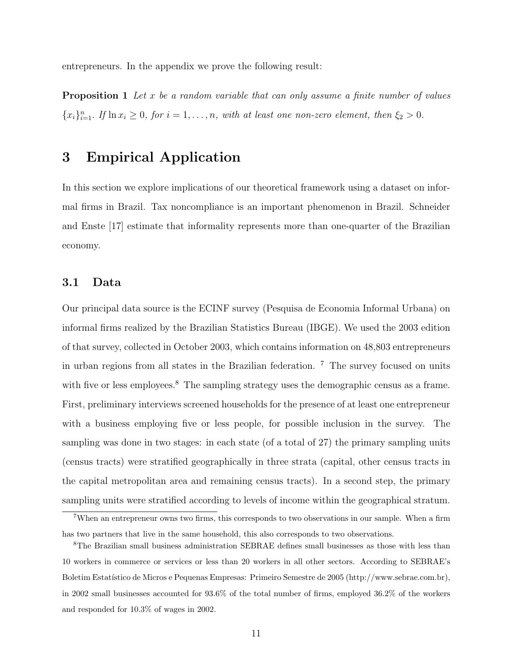entrepreneurs. In the appendix we prove the following result:

**Proposition 1** Let x be a random variable that can only assume a finite number of values  ${x_i}_{i=1}^n$ . If  $\ln x_i \geq 0$ , for  $i = 1, \ldots, n$ , with at least one non-zero element, then  $\xi_2 > 0$ .

# 3 Empirical Application

In this section we explore implications of our theoretical framework using a dataset on informal firms in Brazil. Tax noncompliance is an important phenomenon in Brazil. Schneider and Enste [17] estimate that informality represents more than one-quarter of the Brazilian economy.

#### 3.1 Data

Our principal data source is the ECINF survey (Pesquisa de Economia Informal Urbana) on informal firms realized by the Brazilian Statistics Bureau (IBGE). We used the 2003 edition of that survey, collected in October 2003, which contains information on 48,803 entrepreneurs in urban regions from all states in the Brazilian federation. <sup>7</sup> The survey focused on units with five or less employees.<sup>8</sup> The sampling strategy uses the demographic census as a frame. First, preliminary interviews screened households for the presence of at least one entrepreneur with a business employing five or less people, for possible inclusion in the survey. The sampling was done in two stages: in each state (of a total of 27) the primary sampling units (census tracts) were stratified geographically in three strata (capital, other census tracts in the capital metropolitan area and remaining census tracts). In a second step, the primary sampling units were stratified according to levels of income within the geographical stratum.

<sup>7</sup>When an entrepreneur owns two firms, this corresponds to two observations in our sample. When a firm has two partners that live in the same household, this also corresponds to two observations.

<sup>8</sup>The Brazilian small business administration SEBRAE defines small businesses as those with less than 10 workers in commerce or services or less than 20 workers in all other sectors. According to SEBRAE's Boletim Estatístico de Micros e Pequenas Empresas: Primeiro Semestre de 2005 (http://www.sebrae.com.br), in 2002 small businesses accounted for 93.6% of the total number of firms, employed 36.2% of the workers and responded for 10.3% of wages in 2002.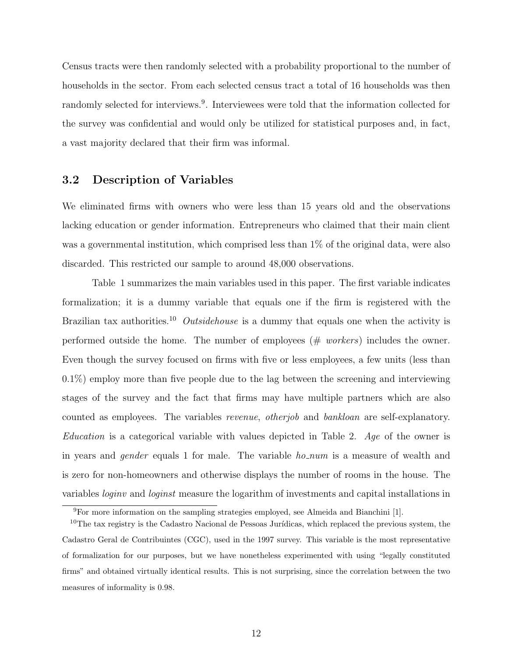Census tracts were then randomly selected with a probability proportional to the number of households in the sector. From each selected census tract a total of 16 households was then randomly selected for interviews.<sup>9</sup>. Interviewees were told that the information collected for the survey was confidential and would only be utilized for statistical purposes and, in fact, a vast majority declared that their firm was informal.

#### 3.2 Description of Variables

We eliminated firms with owners who were less than 15 years old and the observations lacking education or gender information. Entrepreneurs who claimed that their main client was a governmental institution, which comprised less than 1% of the original data, were also discarded. This restricted our sample to around 48,000 observations.

Table 1 summarizes the main variables used in this paper. The first variable indicates formalization; it is a dummy variable that equals one if the firm is registered with the Brazilian tax authorities.<sup>10</sup> Outsidehouse is a dummy that equals one when the activity is performed outside the home. The number of employees  $(\# \text{ workers})$  includes the owner. Even though the survey focused on firms with five or less employees, a few units (less than 0.1%) employ more than five people due to the lag between the screening and interviewing stages of the survey and the fact that firms may have multiple partners which are also counted as employees. The variables *revenue*, *otherjob* and *bankloan* are self-explanatory. Education is a categorical variable with values depicted in Table 2. Age of the owner is in years and *gender* equals 1 for male. The variable  $ho_{num}$  is a measure of wealth and is zero for non-homeowners and otherwise displays the number of rooms in the house. The variables loginv and loginst measure the logarithm of investments and capital installations in

<sup>9</sup>For more information on the sampling strategies employed, see Almeida and Bianchini [1].

 $10$ The tax registry is the Cadastro Nacional de Pessoas Jurídicas, which replaced the previous system, the Cadastro Geral de Contribuintes (CGC), used in the 1997 survey. This variable is the most representative of formalization for our purposes, but we have nonetheless experimented with using "legally constituted firms" and obtained virtually identical results. This is not surprising, since the correlation between the two measures of informality is 0.98.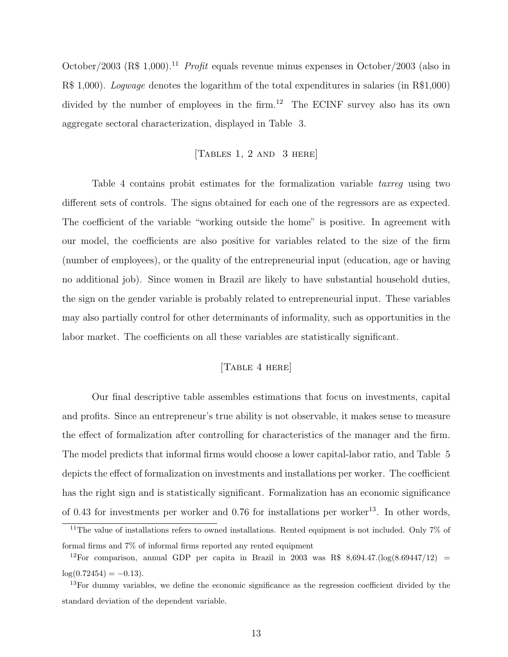October/2003 (R\$ 1,000).<sup>11</sup> Profit equals revenue minus expenses in October/2003 (also in R\$ 1,000). Logwage denotes the logarithm of the total expenditures in salaries (in R\$1,000) divided by the number of employees in the firm.<sup>12</sup> The ECINF survey also has its own aggregate sectoral characterization, displayed in Table 3.

#### [Tables 1, 2 and 3 here]

Table 4 contains probit estimates for the formalization variable taxreg using two different sets of controls. The signs obtained for each one of the regressors are as expected. The coefficient of the variable "working outside the home" is positive. In agreement with our model, the coefficients are also positive for variables related to the size of the firm (number of employees), or the quality of the entrepreneurial input (education, age or having no additional job). Since women in Brazil are likely to have substantial household duties, the sign on the gender variable is probably related to entrepreneurial input. These variables may also partially control for other determinants of informality, such as opportunities in the labor market. The coefficients on all these variables are statistically significant.

#### [Table 4 here]

Our final descriptive table assembles estimations that focus on investments, capital and profits. Since an entrepreneur's true ability is not observable, it makes sense to measure the effect of formalization after controlling for characteristics of the manager and the firm. The model predicts that informal firms would choose a lower capital-labor ratio, and Table 5 depicts the effect of formalization on investments and installations per worker. The coefficient has the right sign and is statistically significant. Formalization has an economic significance of 0.43 for investments per worker and 0.76 for installations per worker<sup>13</sup>. In other words,

 $11$ The value of installations refers to owned installations. Rented equipment is not included. Only 7% of formal firms and 7% of informal firms reported any rented equipment

<sup>&</sup>lt;sup>12</sup>For comparison, annual GDP per capita in Brazil in 2003 was R\$ 8,694.47.( $log(8.69447/12)$  =  $log(0.72454) = -0.13$ .

 $13$  For dummy variables, we define the economic significance as the regression coefficient divided by the standard deviation of the dependent variable.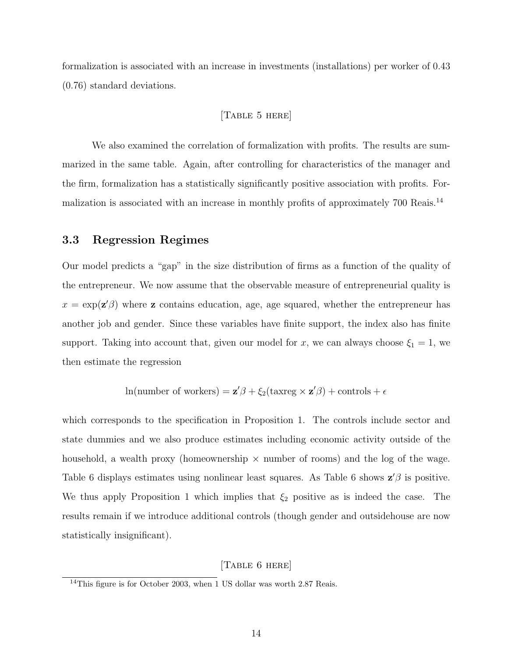formalization is associated with an increase in investments (installations) per worker of 0.43 (0.76) standard deviations.

#### [Table 5 here]

We also examined the correlation of formalization with profits. The results are summarized in the same table. Again, after controlling for characteristics of the manager and the firm, formalization has a statistically significantly positive association with profits. Formalization is associated with an increase in monthly profits of approximately 700 Reais.<sup>14</sup>

#### 3.3 Regression Regimes

Our model predicts a "gap" in the size distribution of firms as a function of the quality of the entrepreneur. We now assume that the observable measure of entrepreneurial quality is  $x = \exp(\mathbf{z}'\beta)$  where **z** contains education, age, age squared, whether the entrepreneur has another job and gender. Since these variables have finite support, the index also has finite support. Taking into account that, given our model for x, we can always choose  $\xi_1 = 1$ , we then estimate the regression

$$
ln(number of workers) = \mathbf{z}'\boldsymbol{\beta} + \xi_2(taxreg \times \mathbf{z}'\boldsymbol{\beta}) + controls + \epsilon
$$

which corresponds to the specification in Proposition 1. The controls include sector and state dummies and we also produce estimates including economic activity outside of the household, a wealth proxy (homeownership  $\times$  number of rooms) and the log of the wage. Table 6 displays estimates using nonlinear least squares. As Table 6 shows  $\mathbf{z}'\beta$  is positive. We thus apply Proposition 1 which implies that  $\xi_2$  positive as is indeed the case. The results remain if we introduce additional controls (though gender and outsidehouse are now statistically insignificant).

#### [Table 6 here]

<sup>&</sup>lt;sup>14</sup>This figure is for October 2003, when 1 US dollar was worth 2.87 Reais.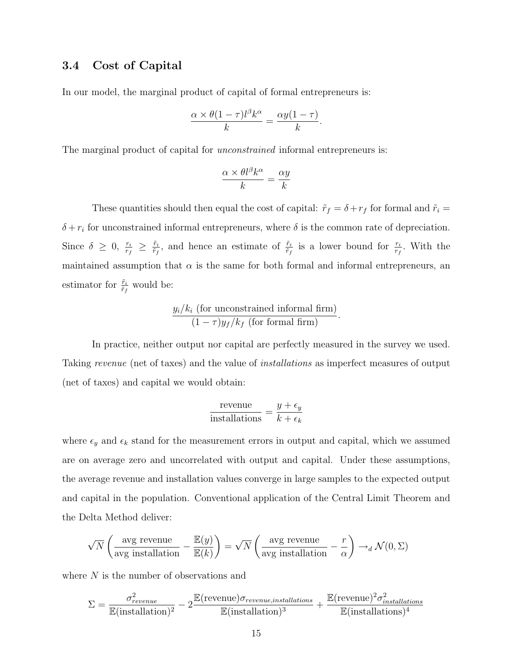### 3.4 Cost of Capital

In our model, the marginal product of capital of formal entrepreneurs is:

$$
\frac{\alpha \times \theta (1 - \tau) l^{\beta} k^{\alpha}}{k} = \frac{\alpha y (1 - \tau)}{k}.
$$

The marginal product of capital for *unconstrained* informal entrepreneurs is:

$$
\frac{\alpha \times \theta l^{\beta} k^{\alpha}}{k} = \frac{\alpha y}{k}
$$

These quantities should then equal the cost of capital:  $\tilde{r}_f = \delta + r_f$  for formal and  $\tilde{r}_i =$  $\delta + r_i$  for unconstrained informal entrepreneurs, where  $\delta$  is the common rate of depreciation. Since  $\delta \geq 0, \frac{r_i}{r_f} \geq \frac{\tilde{r}_i}{\tilde{r}_f}$  $\frac{\tilde{r}_i}{\tilde{r}_f}$ , and hence an estimate of  $\frac{\tilde{r}_i}{\tilde{r}_f}$  is a lower bound for  $\frac{r_i}{r_f}$ . With the maintained assumption that  $\alpha$  is the same for both formal and informal entrepreneurs, an estimator for  $\frac{\tilde{r}_i}{\tilde{r}_f}$  would be:

$$
\frac{y_i/k_i \text{ (for unconstrained informal firm)}}{(1-\tau)y_f/k_f \text{ (for formal firm)}}.
$$

In practice, neither output nor capital are perfectly measured in the survey we used. Taking revenue (net of taxes) and the value of installations as imperfect measures of output (net of taxes) and capital we would obtain:

$$
\frac{\text{revenue}}{\text{installations}} = \frac{y + \epsilon_y}{k + \epsilon_k}
$$

where  $\epsilon_y$  and  $\epsilon_k$  stand for the measurement errors in output and capital, which we assumed are on average zero and uncorrelated with output and capital. Under these assumptions, the average revenue and installation values converge in large samples to the expected output and capital in the population. Conventional application of the Central Limit Theorem and the Delta Method deliver:

$$
\sqrt{N}\left(\frac{\text{avg revenue}}{\text{avg installation}} - \frac{\mathbb{E}(y)}{\mathbb{E}(k)}\right) = \sqrt{N}\left(\frac{\text{avg revenue}}{\text{avg installation}} - \frac{r}{\alpha}\right) \rightarrow_d \mathcal{N}(0, \Sigma)
$$

where N is the number of observations and

$$
\Sigma = \frac{\sigma_{revenue}^2}{\mathbb{E}(\text{installation})^2} - 2 \frac{\mathbb{E}(\text{revenue})\sigma_{revenue, installation}}{\mathbb{E}(\text{installation})^3} + \frac{\mathbb{E}(\text{revenue})^2\sigma_{installations}^2}{\mathbb{E}(\text{installations})^4}
$$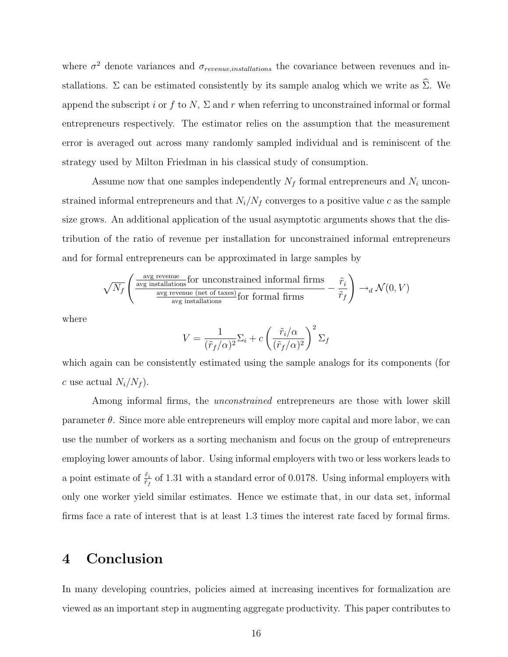where  $\sigma^2$  denote variances and  $\sigma_{revenue, installation}$  the covariance between revenues and installations. Σ can be estimated consistently by its sample analog which we write as  $\hat{\Sigma}$ . We append the subscript i or f to N,  $\Sigma$  and r when referring to unconstrained informal or formal entrepreneurs respectively. The estimator relies on the assumption that the measurement error is averaged out across many randomly sampled individual and is reminiscent of the strategy used by Milton Friedman in his classical study of consumption.

Assume now that one samples independently  $N_f$  formal entrepreneurs and  $N_i$  unconstrained informal entrepreneurs and that  $N_i/N_f$  converges to a positive value c as the sample size grows. An additional application of the usual asymptotic arguments shows that the distribution of the ratio of revenue per installation for unconstrained informal entrepreneurs and for formal entrepreneurs can be approximated in large samples by

$$
\sqrt{N_f} \left( \frac{\frac{\text{avg revenue}}{\text{avg installation}} \text{for unconstrained informal firms}}{\frac{\text{avg revenue (net of taxes)}}{\text{avg installation}} \text{for formal firms}} - \frac{\tilde{r}_i}{\tilde{r}_f} \right) \rightarrow_d \mathcal{N}(0, V)
$$

where

$$
V = \frac{1}{(\tilde{r}_f/\alpha)^2} \Sigma_i + c \left(\frac{\tilde{r}_i/\alpha}{(\tilde{r}_f/\alpha)^2}\right)^2 \Sigma_f
$$

which again can be consistently estimated using the sample analogs for its components (for c use actual  $N_i/N_f$ ).

Among informal firms, the unconstrained entrepreneurs are those with lower skill parameter  $\theta$ . Since more able entrepreneurs will employ more capital and more labor, we can use the number of workers as a sorting mechanism and focus on the group of entrepreneurs employing lower amounts of labor. Using informal employers with two or less workers leads to a point estimate of  $\frac{\tilde{r}_i}{\tilde{r}_f}$  of 1.31 with a standard error of 0.0178. Using informal employers with only one worker yield similar estimates. Hence we estimate that, in our data set, informal firms face a rate of interest that is at least 1.3 times the interest rate faced by formal firms.

### 4 Conclusion

In many developing countries, policies aimed at increasing incentives for formalization are viewed as an important step in augmenting aggregate productivity. This paper contributes to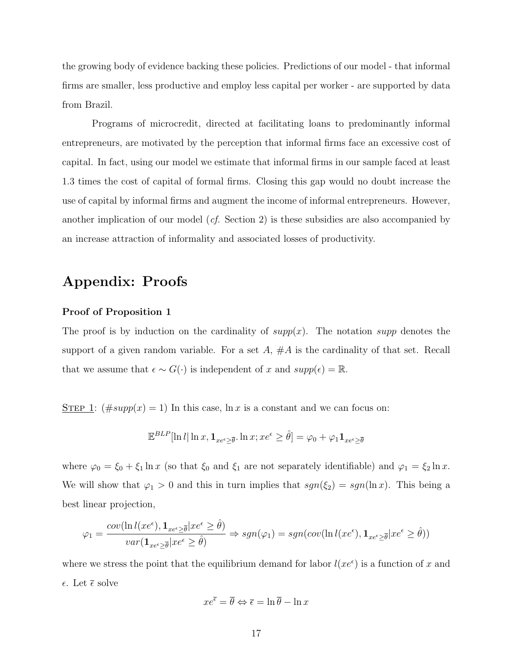the growing body of evidence backing these policies. Predictions of our model - that informal firms are smaller, less productive and employ less capital per worker - are supported by data from Brazil.

Programs of microcredit, directed at facilitating loans to predominantly informal entrepreneurs, are motivated by the perception that informal firms face an excessive cost of capital. In fact, using our model we estimate that informal firms in our sample faced at least 1.3 times the cost of capital of formal firms. Closing this gap would no doubt increase the use of capital by informal firms and augment the income of informal entrepreneurs. However, another implication of our model (cf. Section 2) is these subsidies are also accompanied by an increase attraction of informality and associated losses of productivity.

## Appendix: Proofs

#### Proof of Proposition 1

The proof is by induction on the cardinality of  $supp(x)$ . The notation supp denotes the support of a given random variable. For a set  $A$ ,  $\#A$  is the cardinality of that set. Recall that we assume that  $\epsilon \sim G(\cdot)$  is independent of x and  $supp(\epsilon) = \mathbb{R}$ .

STEP 1:  $(\text{#supp}(x) = 1)$  In this case,  $\ln x$  is a constant and we can focus on:

$$
\mathbb{E}^{BLP}[\ln l|\ln x, \mathbf{1}_{xe^{\epsilon} \geq \overline{\theta}}, \ln x, xe^{\epsilon} \geq \hat{\theta}] = \varphi_0 + \varphi_1 \mathbf{1}_{xe^{\epsilon} \geq \overline{\theta}}
$$

where  $\varphi_0 = \xi_0 + \xi_1 \ln x$  (so that  $\xi_0$  and  $\xi_1$  are not separately identifiable) and  $\varphi_1 = \xi_2 \ln x$ . We will show that  $\varphi_1 > 0$  and this in turn implies that  $sgn(\xi_2) = sgn(\ln x)$ . This being a best linear projection,

$$
\varphi_1 = \frac{\operatorname{cov}(\ln l(xe^{\epsilon}), \mathbf{1}_{xe^{\epsilon} \geq \overline{\theta}} | xe^{\epsilon} \geq \hat{\theta})}{\operatorname{var}(\mathbf{1}_{xe^{\epsilon} \geq \overline{\theta}} | xe^{\epsilon} \geq \hat{\theta})} \Rightarrow \operatorname{sgn}(\varphi_1) = \operatorname{sgn}(\operatorname{cov}(\ln l(xe^{\epsilon}), \mathbf{1}_{xe^{\epsilon} \geq \overline{\theta}} | xe^{\epsilon} \geq \hat{\theta}))
$$

where we stress the point that the equilibrium demand for labor  $l(xe^{\epsilon})$  is a function of x and  $\epsilon$ . Let  $\bar{\epsilon}$  solve

$$
xe^{\overline{\epsilon}} = \overline{\theta} \Leftrightarrow \overline{\epsilon} = \ln \overline{\theta} - \ln x
$$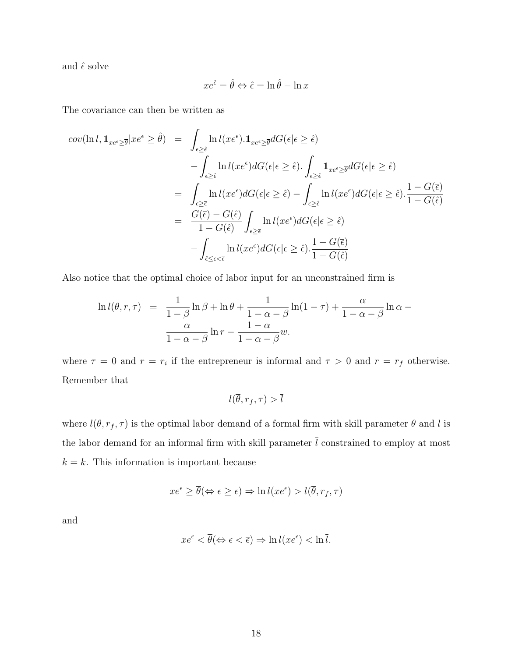and  $\hat{\epsilon}$  solve

$$
xe^{\hat{\epsilon}} = \hat{\theta} \Leftrightarrow \hat{\epsilon} = \ln \hat{\theta} - \ln x
$$

The covariance can then be written as

$$
cov(\ln l, \mathbf{1}_{xe^{\epsilon} \geq \overline{\theta}}|xe^{\epsilon} \geq \hat{\theta}) = \int_{\epsilon \geq \hat{\epsilon}} \ln l(xe^{\epsilon}).\mathbf{1}_{xe^{\epsilon} \geq \overline{\theta}} dG(\epsilon|\epsilon \geq \hat{\epsilon})
$$

$$
- \int_{\epsilon \geq \hat{\epsilon}} \ln l(xe^{\epsilon}) dG(\epsilon|\epsilon \geq \hat{\epsilon}).\int_{\epsilon \geq \hat{\epsilon}} \mathbf{1}_{xe^{\epsilon} \geq \overline{\theta}} dG(\epsilon|\epsilon \geq \hat{\epsilon})
$$

$$
= \int_{\epsilon \geq \overline{\epsilon}} \ln l(xe^{\epsilon}) dG(\epsilon|\epsilon \geq \hat{\epsilon}) - \int_{\epsilon \geq \hat{\epsilon}} \ln l(xe^{\epsilon}) dG(\epsilon|\epsilon \geq \hat{\epsilon}).\frac{1 - G(\overline{\epsilon})}{1 - G(\hat{\epsilon})}
$$

$$
= \frac{G(\overline{\epsilon}) - G(\hat{\epsilon})}{1 - G(\hat{\epsilon})} \int_{\epsilon \geq \overline{\epsilon}} \ln l(xe^{\epsilon}) dG(\epsilon|\epsilon \geq \hat{\epsilon})
$$

$$
- \int_{\hat{\epsilon} \leq \epsilon < \overline{\epsilon}} \ln l(xe^{\epsilon}) dG(\epsilon|\epsilon \geq \hat{\epsilon}).\frac{1 - G(\overline{\epsilon})}{1 - G(\hat{\epsilon})}
$$

Also notice that the optimal choice of labor input for an unconstrained firm is

$$
\ln l(\theta, r, \tau) = \frac{1}{1 - \beta} \ln \beta + \ln \theta + \frac{1}{1 - \alpha - \beta} \ln(1 - \tau) + \frac{\alpha}{1 - \alpha - \beta} \ln \alpha - \frac{\alpha}{1 - \alpha - \beta} \ln r - \frac{1 - \alpha}{1 - \alpha - \beta} w.
$$

where  $\tau = 0$  and  $r = r_i$  if the entrepreneur is informal and  $\tau > 0$  and  $r = r_f$  otherwise. Remember that

$$
l(\overline{\theta},r_f,\tau) > \overline{l}
$$

where  $l(\overline{\theta}, r_f, \tau)$  is the optimal labor demand of a formal firm with skill parameter  $\overline{\theta}$  and  $\overline{l}$  is the labor demand for an informal firm with skill parameter  $\overline{l}$  constrained to employ at most  $k = \overline{k}$ . This information is important because

$$
xe^{\epsilon} \ge \overline{\theta}(\Leftrightarrow \epsilon \ge \overline{\epsilon}) \Rightarrow \ln l(xe^{\epsilon}) > l(\overline{\theta}, r_f, \tau)
$$

and

$$
xe^{\epsilon} < \overline{\theta}(\Leftrightarrow \epsilon < \overline{\epsilon}) \Rightarrow \ln l(xe^{\epsilon}) < \ln \overline{l}.
$$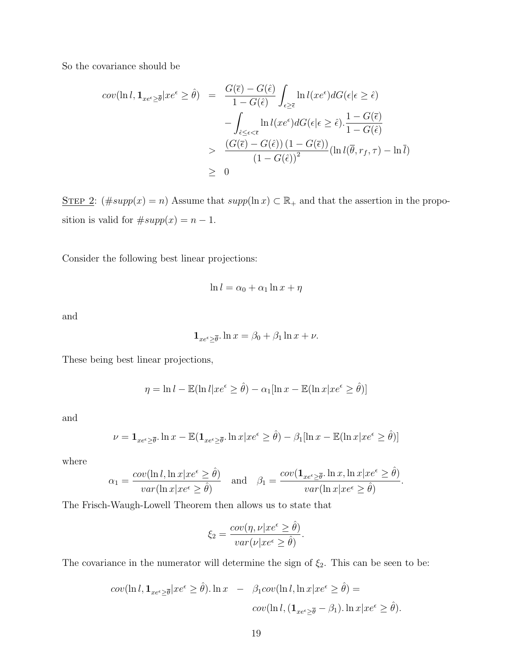So the covariance should be

$$
cov(\ln l, \mathbf{1}_{xe^{\epsilon} \geq \overline{\theta}} | xe^{\epsilon} \geq \hat{\theta}) = \frac{G(\overline{\epsilon}) - G(\hat{\epsilon})}{1 - G(\hat{\epsilon})} \int_{\epsilon \geq \overline{\epsilon}} \ln l(xe^{\epsilon}) dG(\epsilon | \epsilon \geq \hat{\epsilon})
$$

$$
- \int_{\hat{\epsilon} \leq \epsilon < \overline{\epsilon}} \ln l(xe^{\epsilon}) dG(\epsilon | \epsilon \geq \hat{\epsilon}) \cdot \frac{1 - G(\overline{\epsilon})}{1 - G(\hat{\epsilon})}
$$

$$
> \frac{(G(\overline{\epsilon}) - G(\hat{\epsilon})) (1 - G(\overline{\epsilon}))}{(1 - G(\hat{\epsilon}))^2} (\ln l(\overline{\theta}, r_f, \tau) - \ln \overline{l})
$$

$$
\geq 0
$$

STEP 2:  $(\#supp(x) = n)$  Assume that  $supp(\ln x) \subset \mathbb{R}_+$  and that the assertion in the proposition is valid for  $\#supp(x) = n - 1$ .

Consider the following best linear projections:

$$
\ln l = \alpha_0 + \alpha_1 \ln x + \eta
$$

and

$$
\mathbf{1}_{xe^{\epsilon} \geq \overline{\theta}}.\ln x = \beta_0 + \beta_1 \ln x + \nu.
$$

These being best linear projections,

$$
\eta = \ln l - \mathbb{E}(\ln l | x e^{\epsilon} \ge \hat{\theta}) - \alpha_1 [\ln x - \mathbb{E}(\ln x | x e^{\epsilon} \ge \hat{\theta})]
$$

and

$$
\nu = \mathbf{1}_{xe^{\epsilon} \ge \overline{\theta}}.\ln x - \mathbb{E}(\mathbf{1}_{xe^{\epsilon} \ge \overline{\theta}}.\ln x | xe^{\epsilon} \ge \hat{\theta}) - \beta_1 [\ln x - \mathbb{E}(\ln x | xe^{\epsilon} \ge \hat{\theta})]
$$

where

$$
\alpha_1 = \frac{\operatorname{cov}(\ln l, \ln x | x e^{\epsilon} \geq \hat{\theta})}{\operatorname{var}(\ln x | x e^{\epsilon} \geq \hat{\theta})} \quad \text{and} \quad \beta_1 = \frac{\operatorname{cov}(\mathbf{1}_{x e^{\epsilon} \geq \overline{\theta}}, \ln x, \ln x | x e^{\epsilon} \geq \hat{\theta})}{\operatorname{var}(\ln x | x e^{\epsilon} \geq \hat{\theta})}.
$$

The Frisch-Waugh-Lowell Theorem then allows us to state that

$$
\xi_2 = \frac{cov(\eta, \nu | xe^{\epsilon} \geq \hat{\theta})}{var(\nu | xe^{\epsilon} \geq \hat{\theta})}.
$$

The covariance in the numerator will determine the sign of  $\xi_2$ . This can be seen to be:

$$
cov(\ln l, \mathbf{1}_{xe^{\epsilon} \geq \bar{\theta}} | xe^{\epsilon} \geq \hat{\theta}). \ln x - \beta_1 cov(\ln l, \ln x | xe^{\epsilon} \geq \hat{\theta}) =
$$
  

$$
cov(\ln l, (\mathbf{1}_{xe^{\epsilon} \geq \bar{\theta}} - \beta_1). \ln x | xe^{\epsilon} \geq \hat{\theta}).
$$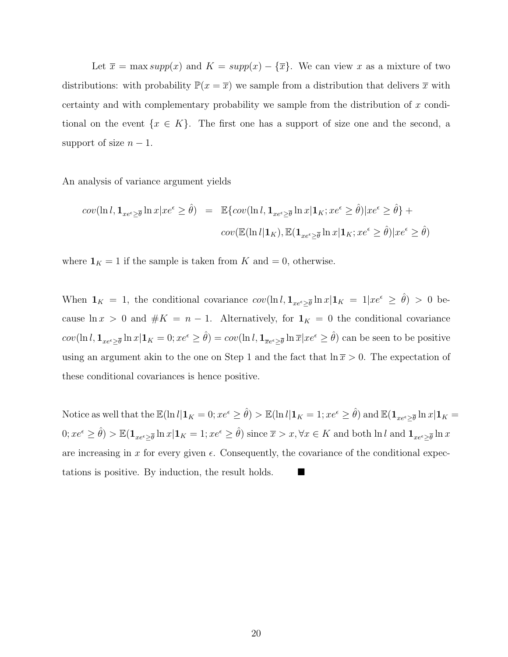Let  $\bar{x} = \max supp(x)$  and  $K = supp(x) - {\bar{x}}$ . We can view x as a mixture of two distributions: with probability  $\mathbb{P}(x = \overline{x})$  we sample from a distribution that delivers  $\overline{x}$  with certainty and with complementary probability we sample from the distribution of  $x$  conditional on the event  $\{x \in K\}$ . The first one has a support of size one and the second, a support of size  $n-1$ .

An analysis of variance argument yields

$$
cov(\ln l, \mathbf{1}_{xe^{\epsilon} \geq \bar{\theta}} \ln x | xe^{\epsilon} \geq \hat{\theta}) = \mathbb{E}\{cov(\ln l, \mathbf{1}_{xe^{\epsilon} \geq \bar{\theta}} \ln x | \mathbf{1}_{K}; xe^{\epsilon} \geq \hat{\theta}) | xe^{\epsilon} \geq \hat{\theta}\} + \newline cov(\mathbb{E}(\ln l | \mathbf{1}_{K}), \mathbb{E}(\mathbf{1}_{xe^{\epsilon} \geq \bar{\theta}} \ln x | \mathbf{1}_{K}; xe^{\epsilon} \geq \hat{\theta}) | xe^{\epsilon} \geq \hat{\theta})
$$

where  $\mathbf{1}_K = 1$  if the sample is taken from K and  $= 0$ , otherwise.

When  $\mathbf{1}_K = 1$ , the conditional covariance  $cov(\ln l, \mathbf{1}_{xe \in \ge \bar{\theta}} \ln x | \mathbf{1}_K = 1 | xe^{\epsilon} \ge \hat{\theta}) > 0$  because  $\ln x > 0$  and  $\#K = n - 1$ . Alternatively, for  $\mathbf{1}_K = 0$  the conditional covariance  $cov(\ln l, \mathbf{1}_{xe^{\epsilon} \geq \overline{\theta}} \ln x | \mathbf{1}_K = 0; xe^{\epsilon} \geq \hat{\theta}) = cov(\ln l, \mathbf{1}_{\overline{x}e^{\epsilon} \geq \overline{\theta}} \ln \overline{x} | xe^{\epsilon} \geq \hat{\theta})$  can be seen to be positive using an argument akin to the one on Step 1 and the fact that  $\ln \overline{x} > 0$ . The expectation of these conditional covariances is hence positive.

Notice as well that the  $\mathbb{E}(\ln l|\mathbf{1}_K=0;x e^\epsilon\geq \hat{\theta})>\mathbb{E}(\ln l|\mathbf{1}_K=1;x e^\epsilon\geq \hat{\theta})$  and  $\mathbb{E}(\mathbf{1}_{xe^\epsilon\geq \overline{\theta}}\ln x|\mathbf{1}_K=1;x e^\epsilon\geq \hat{\theta})$  $0; xe^{\epsilon} \geq \hat{\theta}$  >  $\mathbb{E}(\mathbf{1}_{xe^{\epsilon} \geq \overline{\theta}} \ln x | \mathbf{1}_K = 1; xe^{\epsilon} \geq \hat{\theta})$  since  $\overline{x} > x, \forall x \in K$  and both  $\ln l$  and  $\mathbf{1}_{xe^{\epsilon} \geq \overline{\theta}} \ln x$ are increasing in x for every given  $\epsilon$ . Consequently, the covariance of the conditional expectations is positive. By induction, the result holds.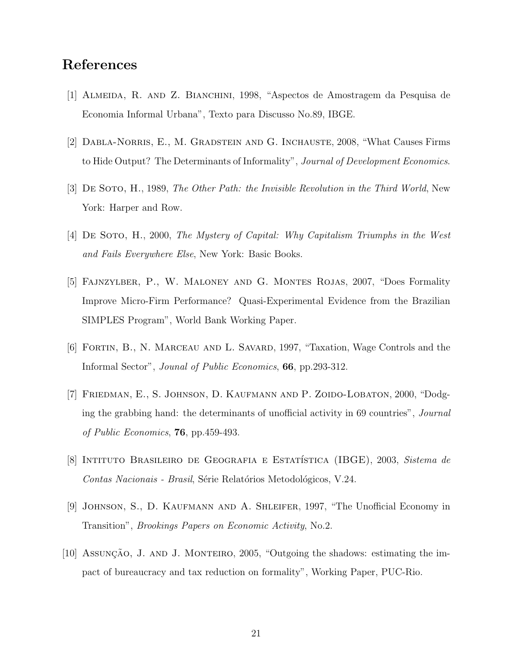## References

- [1] Almeida, R. and Z. Bianchini, 1998, "Aspectos de Amostragem da Pesquisa de Economia Informal Urbana", Texto para Discusso No.89, IBGE.
- [2] Dabla-Norris, E., M. Gradstein and G. Inchauste, 2008, "What Causes Firms to Hide Output? The Determinants of Informality", Journal of Development Economics.
- [3] De Soto, H., 1989, The Other Path: the Invisible Revolution in the Third World, New York: Harper and Row.
- [4] De Soto, H., 2000, The Mystery of Capital: Why Capitalism Triumphs in the West and Fails Everywhere Else, New York: Basic Books.
- [5] Fajnzylber, P., W. Maloney and G. Montes Rojas, 2007, "Does Formality Improve Micro-Firm Performance? Quasi-Experimental Evidence from the Brazilian SIMPLES Program", World Bank Working Paper.
- [6] Fortin, B., N. Marceau and L. Savard, 1997, "Taxation, Wage Controls and the Informal Sector", Jounal of Public Economics, 66, pp.293-312.
- [7] Friedman, E., S. Johnson, D. Kaufmann and P. Zoido-Lobaton, 2000, "Dodging the grabbing hand: the determinants of unofficial activity in 69 countries", Journal of Public Economics, 76, pp.459-493.
- [8] INTITUTO BRASILEIRO DE GEOGRAFIA E ESTATÍSTICA (IBGE), 2003, Sistema de Contas Nacionais - Brasil, Série Relatórios Metodológicos, V.24.
- [9] Johnson, S., D. Kaufmann and A. Shleifer, 1997, "The Unofficial Economy in Transition", Brookings Papers on Economic Activity, No.2.
- [10] Assunção, J. AND J. MONTEIRO, 2005, "Outgoing the shadows: estimating the impact of bureaucracy and tax reduction on formality", Working Paper, PUC-Rio.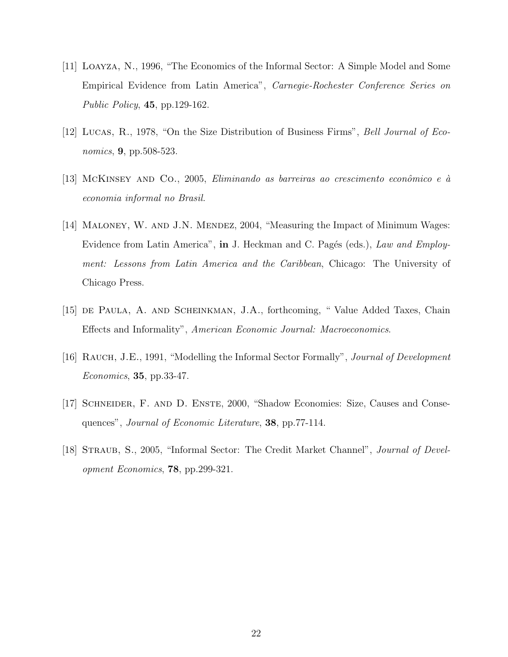- [11] Loayza, N., 1996, "The Economics of the Informal Sector: A Simple Model and Some Empirical Evidence from Latin America", Carnegie-Rochester Conference Series on Public Policy, 45, pp.129-162.
- [12] Lucas, R., 1978, "On the Size Distribution of Business Firms", Bell Journal of Economics, 9, pp.508-523.
- [13] McKINSEY AND CO., 2005, Eliminando as barreiras ao crescimento econômico e à economia informal no Brasil.
- [14] MALONEY, W. AND J.N. MENDEZ, 2004, "Measuring the Impact of Minimum Wages: Evidence from Latin America", in J. Heckman and C. Pagés (eds.), Law and Employment: Lessons from Latin America and the Caribbean, Chicago: The University of Chicago Press.
- [15] DE PAULA, A. AND SCHEINKMAN, J.A., forthcoming, "Value Added Taxes, Chain Effects and Informality", American Economic Journal: Macroeconomics.
- [16] RAUCH, J.E., 1991, "Modelling the Informal Sector Formally", *Journal of Development* Economics, 35, pp.33-47.
- [17] Schneider, F. and D. Enste, 2000, "Shadow Economies: Size, Causes and Consequences", Journal of Economic Literature, 38, pp.77-114.
- [18] Straub, S., 2005, "Informal Sector: The Credit Market Channel", Journal of Development Economics, 78, pp.299-321.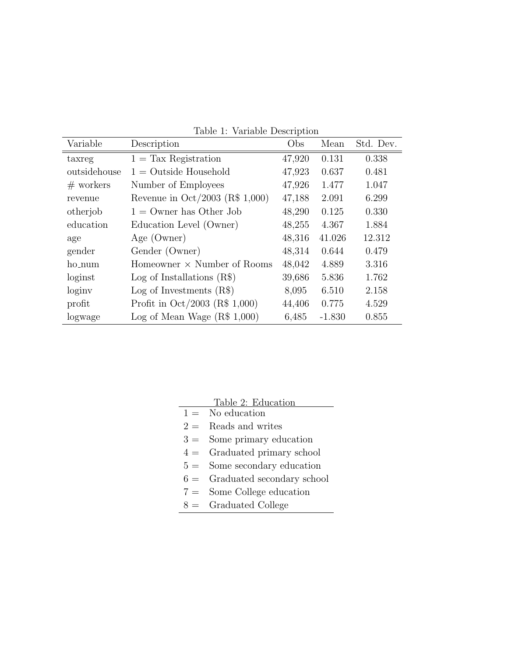| Variable     | Description                        | Obs    | Mean     | Std. Dev. |
|--------------|------------------------------------|--------|----------|-----------|
| taxreg       | $1 =$ Tax Registration             | 47,920 | 0.131    | 0.338     |
| outsidehouse | $1 =$ Outside Household            | 47,923 | 0.637    | 0.481     |
| $#$ workers  | Number of Employees                | 47,926 | 1.477    | 1.047     |
| revenue      | Revenue in $Oct/2003$ (R\$ 1,000)  | 47,188 | 2.091    | 6.299     |
| otherjob     | $1 =$ Owner has Other Job          | 48,290 | 0.125    | 0.330     |
| education    | Education Level (Owner)            | 48,255 | 4.367    | 1.884     |
| age          | Age (Owner)                        | 48,316 | 41.026   | 12.312    |
| gender       | Gender (Owner)                     | 48,314 | 0.644    | 0.479     |
| ho_num       | Homeowner $\times$ Number of Rooms | 48,042 | 4.889    | 3.316     |
| loginst      | Log of Installations $(R\$ )       | 39,686 | 5.836    | 1.762     |
| loginv       | Log of Investments $(R$)$          | 8,095  | 6.510    | 2.158     |
| profit       | Profit in $Oct/2003$ (R\$ 1,000)   | 44,406 | 0.775    | 4.529     |
| logwage      | Log of Mean Wage $(R$ 1,000)$      | 6,485  | $-1.830$ | 0.855     |

Table 1: Variable Description

| Table 2: Education               |
|----------------------------------|
| $1 =$ No education               |
| $2 =$ Reads and writes           |
| $3 =$ Some primary education     |
| $4 =$ Graduated primary school   |
| $5 =$ Some secondary education   |
| $6 =$ Graduated secondary school |
| $7 =$ Some College education     |
| $8 =$ Graduated College          |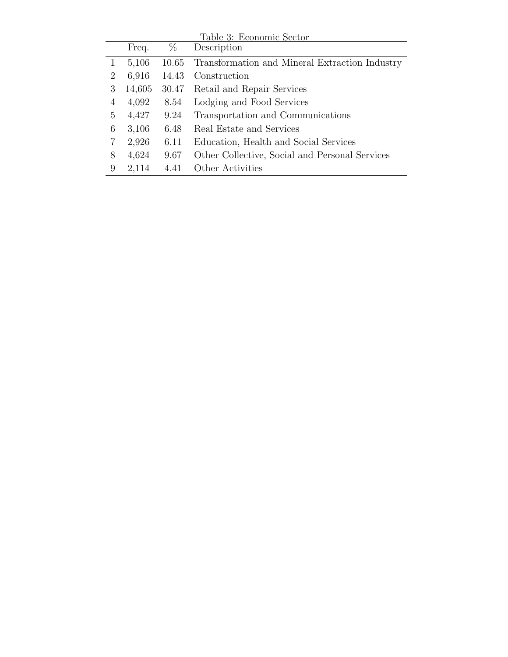|   |        |       | Table 3: Economic Sector                       |
|---|--------|-------|------------------------------------------------|
|   | Freq.  | $\%$  | Description                                    |
| 1 | 5,106  | 10.65 | Transformation and Mineral Extraction Industry |
| 2 | 6,916  | 14.43 | Construction                                   |
| 3 | 14,605 | 30.47 | Retail and Repair Services                     |
| 4 | 4,092  | 8.54  | Lodging and Food Services                      |
| 5 | 4,427  | 9.24  | Transportation and Communications              |
| 6 | 3,106  | 6.48  | Real Estate and Services                       |
| 7 | 2,926  | 6.11  | Education, Health and Social Services          |
| 8 | 4,624  | 9.67  | Other Collective, Social and Personal Services |
| 9 | 2,114  | 4.41  | Other Activities                               |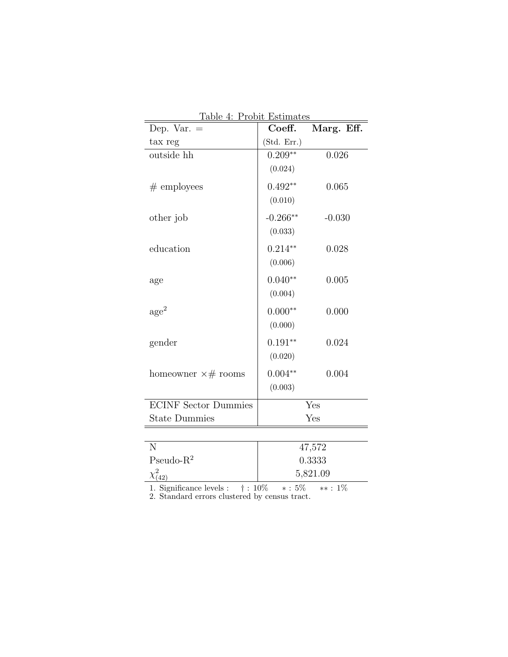| Table 4: Probit Estimates   |             |            |  |  |
|-----------------------------|-------------|------------|--|--|
| Dep. Var. $=$               | Coeff.      | Marg. Eff. |  |  |
| tax reg                     | (Std. Err.) |            |  |  |
| outside hh                  | $0.209**$   | 0.026      |  |  |
|                             | (0.024)     |            |  |  |
| $#$ employees               | $0.492**$   | 0.065      |  |  |
|                             | (0.010)     |            |  |  |
| other job                   | $-0.266**$  | $-0.030$   |  |  |
|                             | (0.033)     |            |  |  |
| education                   | $0.214**$   | 0.028      |  |  |
|                             | (0.006)     |            |  |  |
| age                         | $0.040**$   | 0.005      |  |  |
|                             | (0.004)     |            |  |  |
| age <sup>2</sup>            | $0.000**$   | 0.000      |  |  |
|                             | (0.000)     |            |  |  |
| gender                      | $0.191**$   | 0.024      |  |  |
|                             | (0.020)     |            |  |  |
| homeowner $\times\#$ rooms  | $0.004**$   | 0.004      |  |  |
|                             | (0.003)     |            |  |  |
| <b>ECINF Sector Dummies</b> | Yes         |            |  |  |
| <b>State Dummies</b>        | Yes         |            |  |  |
|                             |             |            |  |  |
| N                           | 47,572      |            |  |  |
| $Pseudo-R2$                 | 0.3333      |            |  |  |

Table  $4$ : Probit Estimate

1. Significance levels : † : 10% ∗ : 5% ∗ \* : 1%

(42) 5,821.09

2. Standard errors clustered by census tract.

 $\chi^2_0$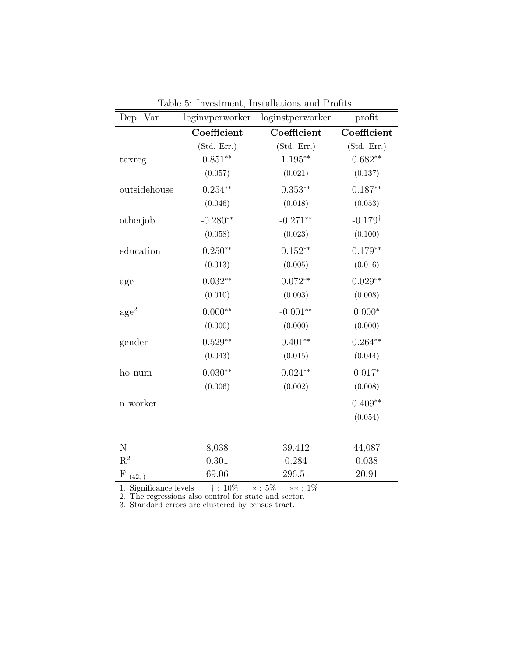| Dep. Var. $=$                              | loginvperworker | loginstperworker | profit             |
|--------------------------------------------|-----------------|------------------|--------------------|
|                                            | Coefficient     | Coefficient      | Coefficient        |
|                                            | (Std. Err.)     | (Std. Err.)      | (Std. Err.)        |
| taxreg                                     | $0.851**$       | $1.195***$       | $0.682**$          |
|                                            | (0.057)         | (0.021)          | (0.137)            |
| outsidehouse                               | $0.254**$       | $0.353**$        | $0.187**$          |
|                                            | (0.046)         | (0.018)          | (0.053)            |
| otherjob                                   | $-0.280**$      | $-0.271**$       | $-0.179^{\dagger}$ |
|                                            | (0.058)         | (0.023)          | (0.100)            |
| education                                  | $0.250**$       | $0.152**$        | $0.179**$          |
|                                            | (0.013)         | (0.005)          | (0.016)            |
| age                                        | $0.032**$       | $0.072**$        | $0.029**$          |
|                                            | (0.010)         | (0.003)          | (0.008)            |
| $\rm age^2$                                | $0.000**$       | $-0.001**$       | $0.000*$           |
|                                            | (0.000)         | (0.000)          | (0.000)            |
| gender                                     | $0.529**$       | $0.401**$        | $0.264**$          |
|                                            | (0.043)         | (0.015)          | (0.044)            |
| ho_num                                     | $0.030**$       | $0.024**$        | $0.017*$           |
|                                            | (0.006)         | (0.002)          | (0.008)            |
| n_worker                                   |                 |                  | $0.409**$          |
|                                            |                 |                  | (0.054)            |
|                                            |                 |                  |                    |
| ${\rm N}$                                  | 8,038           | 39,412           | 44,087             |
| $\mathbf{R}^2$                             | 0.301           | 0.284            | 0.038              |
| $\boldsymbol{\mathrm{F}}$<br>$(42, \cdot)$ | 69.06           | 296.51           | 20.91              |

Table 5: Investment, Installations and Profits

1. Significance levels : † : 10% ∗ : 5% ∗∗ : 1%

2. The regressions also control for state and sector.

3. Standard errors are clustered by census tract.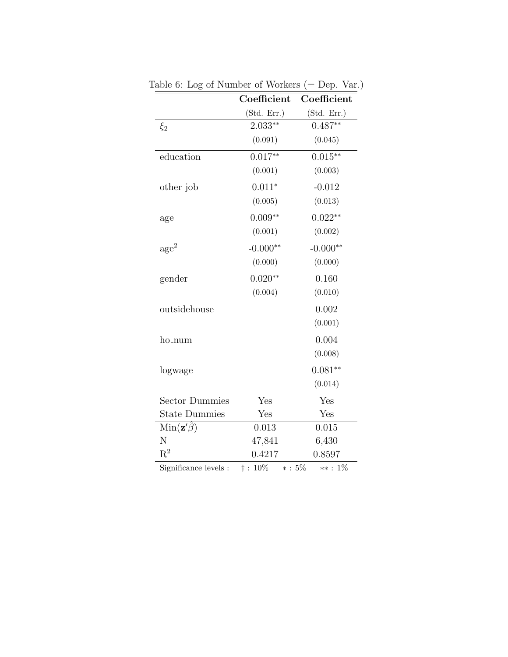|                                        | Coefficient                      | Coefficient |
|----------------------------------------|----------------------------------|-------------|
|                                        | (Std. Err.)                      | (Std. Err.) |
| $\xi_2$                                | $2.033**$                        | $0.487**$   |
|                                        | (0.091)                          | (0.045)     |
| education                              | $0.017**$                        | $0.015**$   |
|                                        | (0.001)                          | (0.003)     |
| other job                              | $0.011*$                         | $-0.012$    |
|                                        | (0.005)                          | (0.013)     |
| age                                    | $0.009**$                        | $0.022**$   |
|                                        | (0.001)                          | (0.002)     |
| $\rm age^2$                            | $-0.000**$                       | $-0.000**$  |
|                                        | (0.000)                          | (0.000)     |
| gender                                 | $0.020**$                        | 0.160       |
|                                        | (0.004)                          | (0.010)     |
| outsidehouse                           |                                  | 0.002       |
|                                        |                                  | (0.001)     |
| ho_num                                 |                                  | 0.004       |
|                                        |                                  | (0.008)     |
| logwage                                |                                  | $0.081**$   |
|                                        |                                  | (0.014)     |
| <b>Sector Dummies</b>                  | Yes                              | Yes         |
| <b>State Dummies</b>                   | Yes                              | Yes         |
| $\mathrm{Min}(\mathbf{z}'\hat{\beta})$ | 0.013                            | 0.015       |
| N                                      | 47,841                           | 6,430       |
| $\mathbf{R}^2$                         | 0.4217                           | 0.8597      |
| Significance levels :                  | $\dagger:10\%$<br>$\ast$ : $5\%$ | $**: 1\%$   |

Table 6: Log of Number of Workers (= Dep. Var.)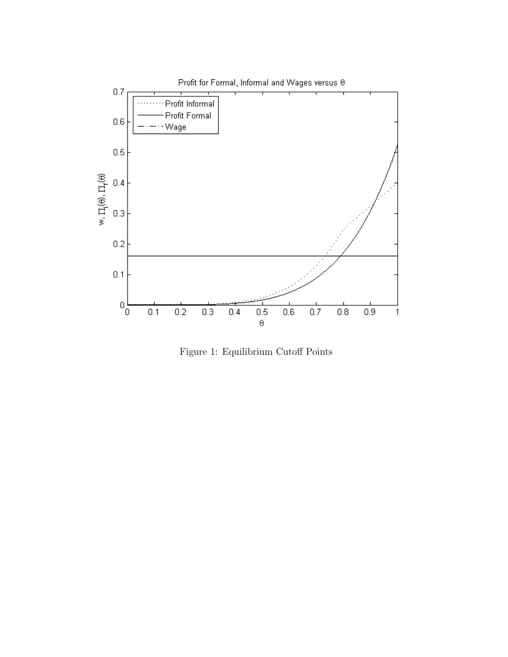

Figure 1: Equilibrium Cutoff Points